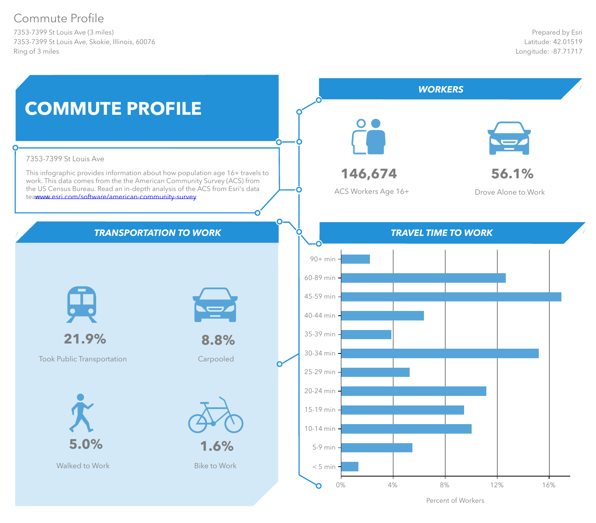7353-7399 St Louis Ave (3 miles) 7353-7399 St Louis Ave, Skokie, Illinois, 60076 Ring of 3 miles

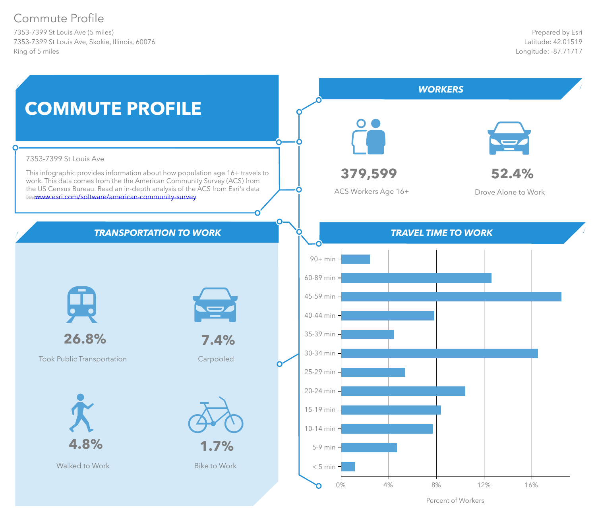7353-7399 St Louis Ave (5 miles) 7353-7399 St Louis Ave, Skokie, Illinois, 60076 Ring of 5 miles

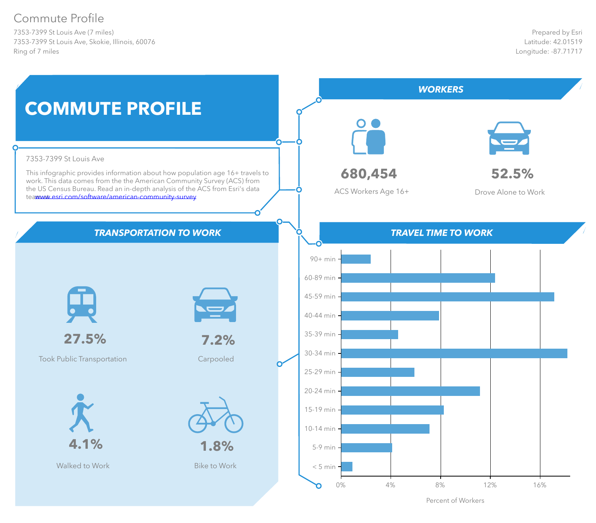7353-7399 St Louis Ave (7 miles) 7353-7399 St Louis Ave, Skokie, Illinois, 60076 Ring of 7 miles

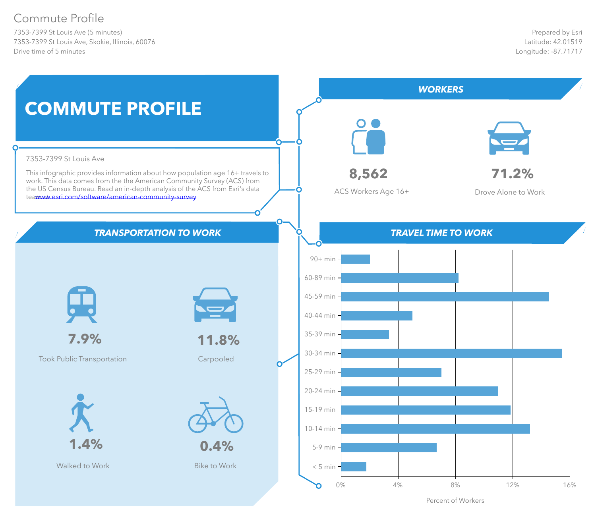7353-7399 St Louis Ave (5 minutes) 7353-7399 St Louis Ave, Skokie, Illinois, 60076 Drive time of 5 minutes

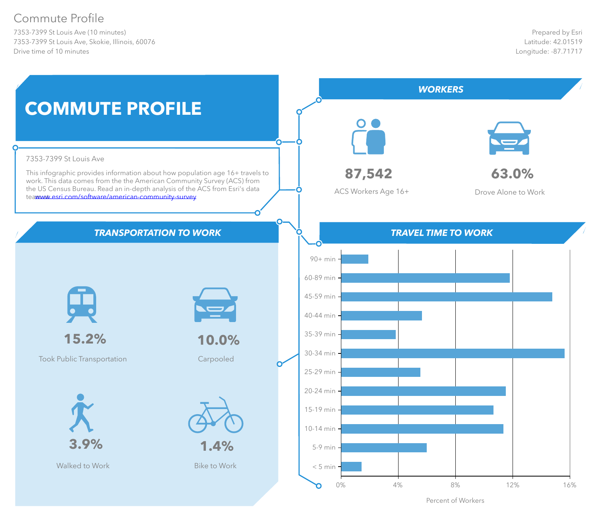7353-7399 St Louis Ave (10 minutes) 7353-7399 St Louis Ave, Skokie, Illinois, 60076 Drive time of 10 minutes

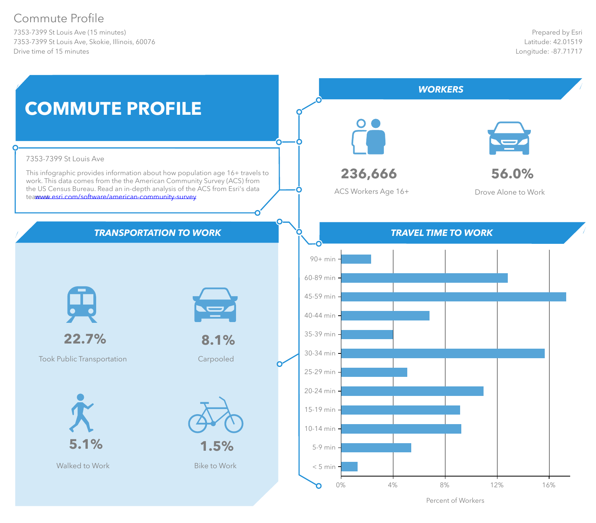7353-7399 St Louis Ave (15 minutes) 7353-7399 St Louis Ave, Skokie, Illinois, 60076 Drive time of 15 minutes

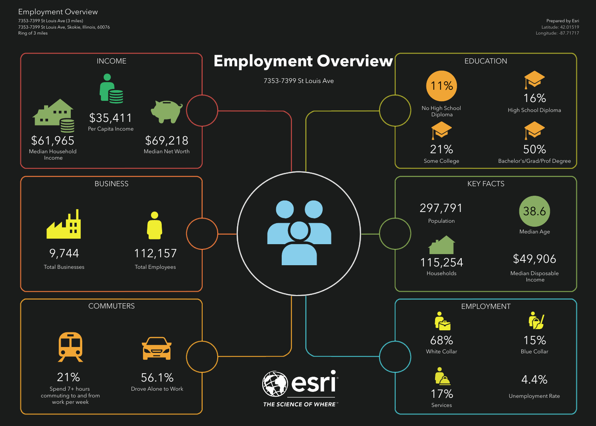7353-7399 St Louis Ave (3 miles) 7353-7399 St Louis Ave, Skokie, Illinois, 60076 Ring of 3 miles

Employment Overview

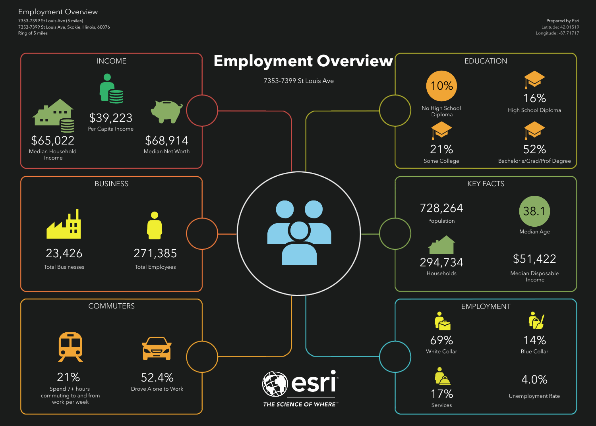7353-7399 St Louis Ave (5 miles) 7353-7399 St Louis Ave, Skokie, Illinois, 60076 Ring of 5 miles

Employment Overview

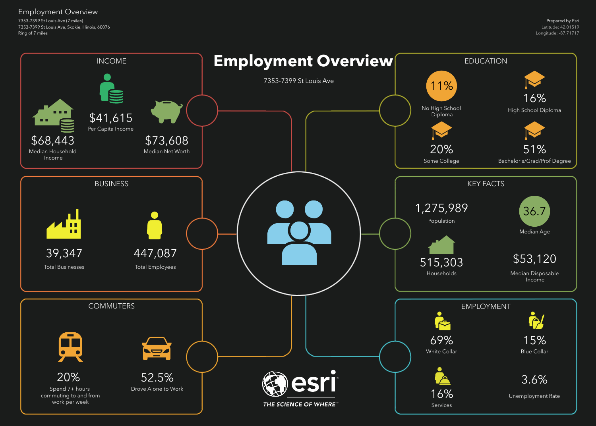7353-7399 St Louis Ave (7 miles) 7353-7399 St Louis Ave, Skokie, Illinois, 60076 Ring of 7 miles

Employment Overview

![](_page_8_Figure_2.jpeg)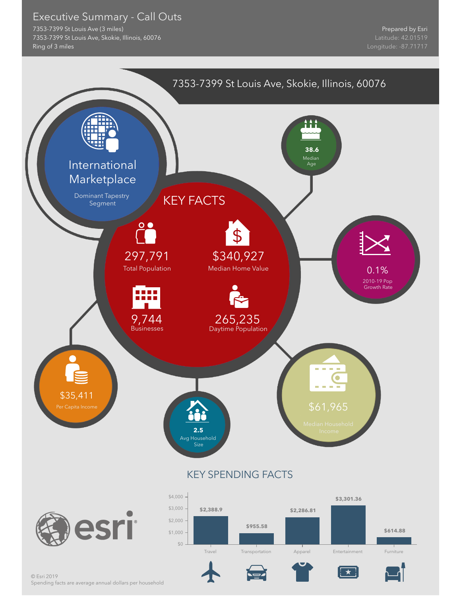Executive Summary - Call Outs

7353-7399 St Louis Ave (3 miles) 7353-7399 St Louis Ave, Skokie, Illinois, 60076 Ring of 3 miles

![](_page_9_Figure_3.jpeg)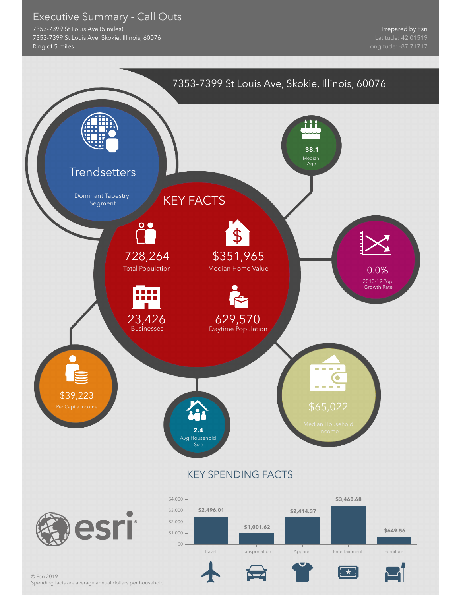Executive Summary - Call Outs

7353-7399 St Louis Ave (5 miles) 7353-7399 St Louis Ave, Skokie, Illinois, 60076 Ring of 5 miles

![](_page_10_Figure_3.jpeg)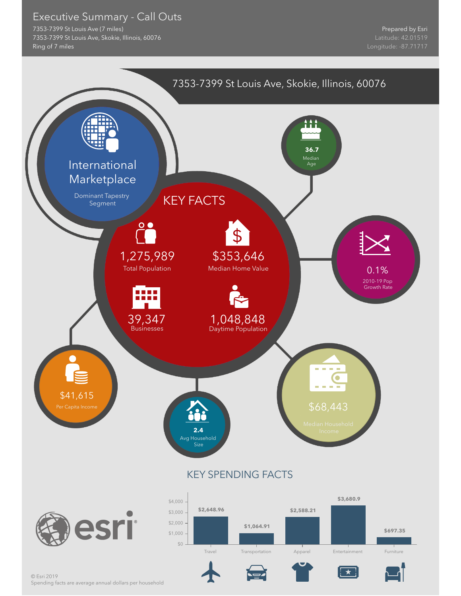Executive Summary - Call Outs

7353-7399 St Louis Ave (7 miles) 7353-7399 St Louis Ave, Skokie, Illinois, 60076 Ring of 7 miles

![](_page_11_Figure_3.jpeg)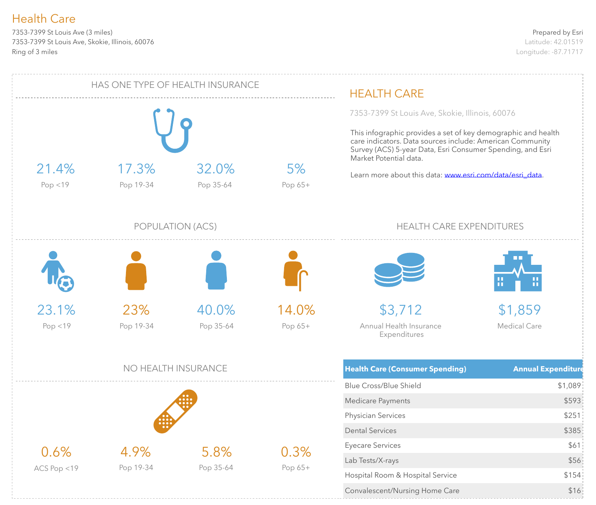7353-7399 St Louis Ave (3 miles) 7353-7399 St Louis Ave, Skokie, Illinois, 60076 Ring of 3 miles

![](_page_12_Figure_3.jpeg)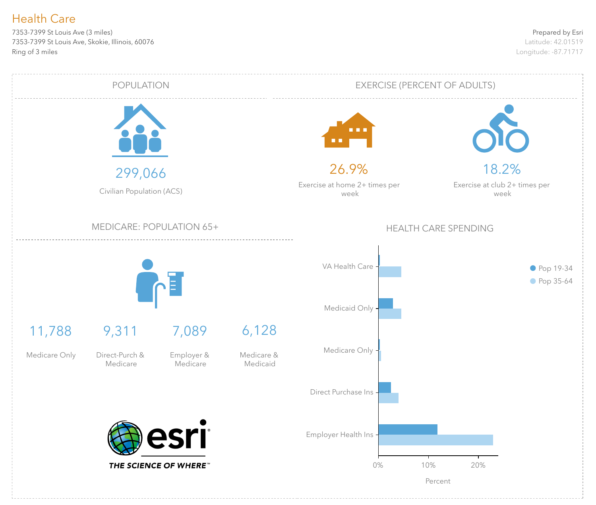7353-7399 St Louis Ave (3 miles) 7353-7399 St Louis Ave, Skokie, Illinois, 60076 Ring of 3 miles

![](_page_13_Figure_3.jpeg)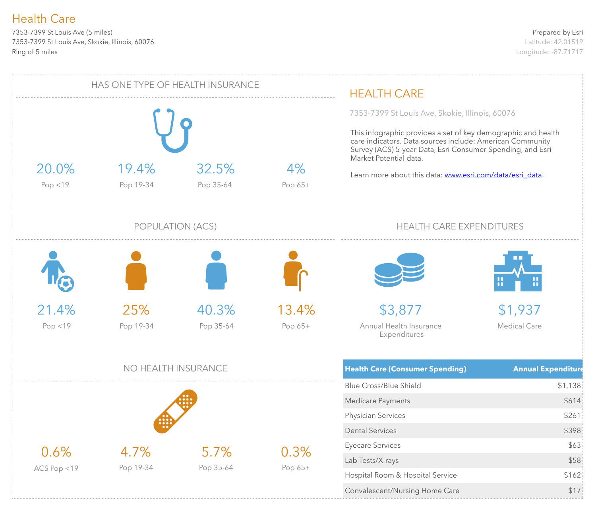7353-7399 St Louis Ave (5 miles) 7353-7399 St Louis Ave, Skokie, Illinois, 60076 Ring of 5 miles

![](_page_14_Figure_3.jpeg)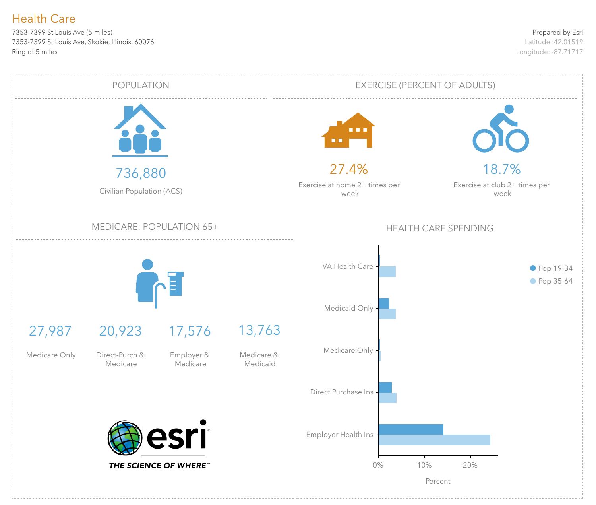7353-7399 St Louis Ave (5 miles) 7353-7399 St Louis Ave, Skokie, Illinois, 60076 Ring of 5 miles

![](_page_15_Figure_3.jpeg)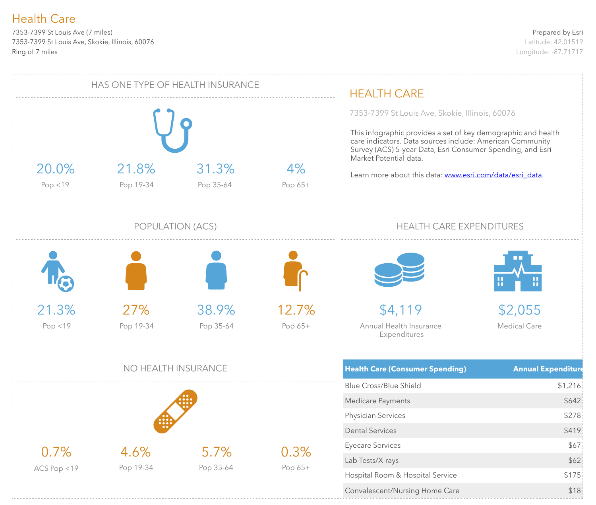7353-7399 St Louis Ave (7 miles) 7353-7399 St Louis Ave, Skokie, Illinois, 60076 Ring of 7 miles

![](_page_16_Figure_3.jpeg)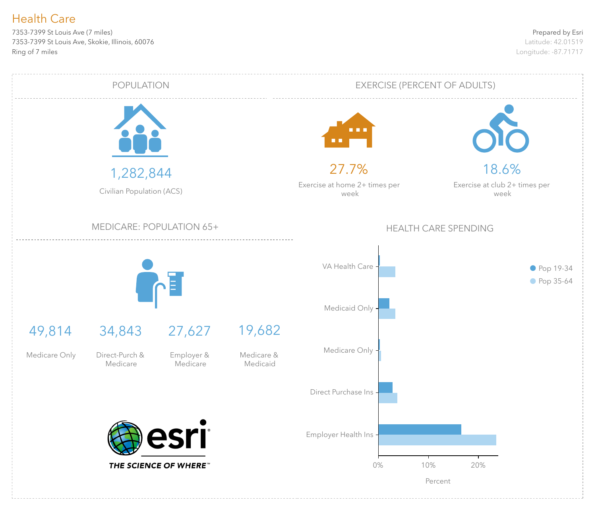7353-7399 St Louis Ave (7 miles) 7353-7399 St Louis Ave, Skokie, Illinois, 60076 Ring of 7 miles

![](_page_17_Figure_3.jpeg)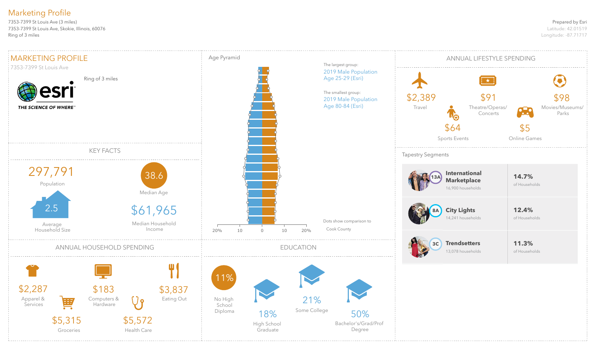### Prepared by Esri

Latitude: 42.01519 Longitude: -87.71717

7353-7399 St Louis Ave (3 miles) 7353-7399 St Louis Ave, Skokie, Illinois, 60076 Ring of 3 miles

# Marketing Profile

![](_page_18_Figure_2.jpeg)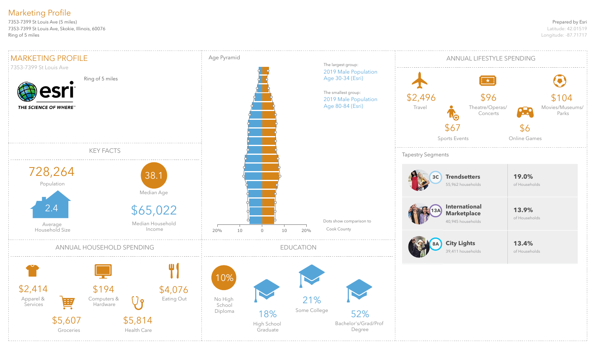### Prepared by Esri

Latitude: 42.01519 Longitude: -87.71717

7353-7399 St Louis Ave (5 miles) 7353-7399 St Louis Ave, Skokie, Illinois, 60076 Ring of 5 miles

# Marketing Profile

![](_page_19_Figure_2.jpeg)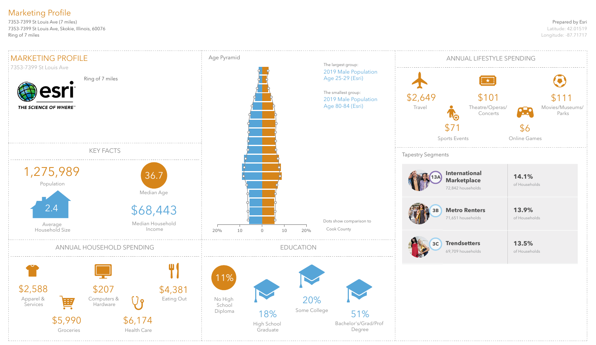### Prepared by Esri

Latitude: 42.01519 Longitude: -87.71717

7353-7399 St Louis Ave (7 miles) 7353-7399 St Louis Ave, Skokie, Illinois, 60076 Ring of 7 miles

# Marketing Profile

![](_page_20_Figure_2.jpeg)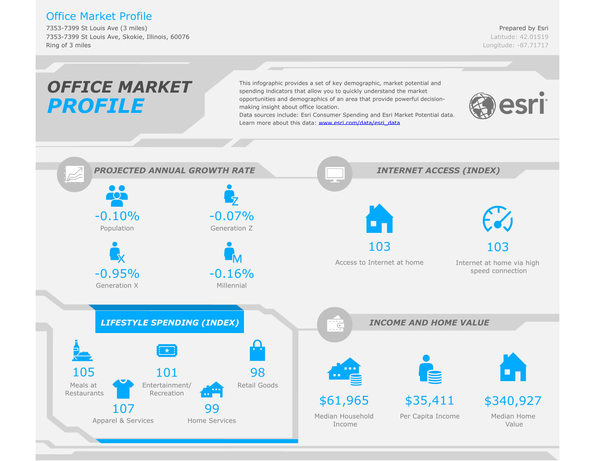## Office Market Profile

7353-7399 St Louis Ave (3 miles) 7353-7399 St Louis Ave, Skokie, Illinois, 60076 Ring of 3 miles

![](_page_21_Figure_3.jpeg)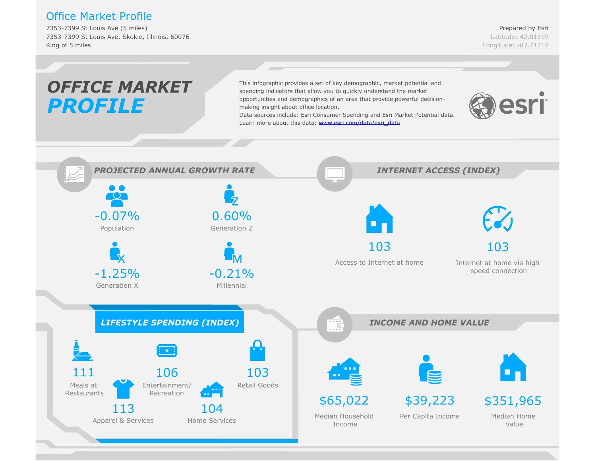## Office Market Profile

7353-7399 St Louis Ave (5 miles) 7353-7399 St Louis Ave, Skokie, Illinois, 60076 Ring of 5 miles

![](_page_22_Figure_3.jpeg)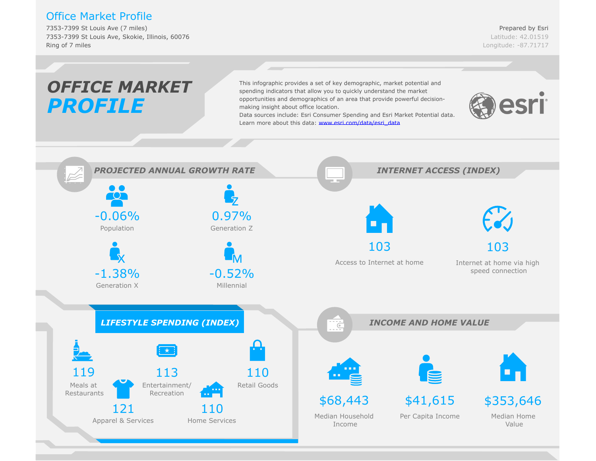## Office Market Profile

7353-7399 St Louis Ave (7 miles) 7353-7399 St Louis Ave, Skokie, Illinois, 60076 Ring of 7 miles

Prepared by Esri Latitude: 42.01519 Longitude: -87.71717

#### *OFFICE MARKET*This infographic provides a set of key demographic, market potential and spending indicators that allow you to quickly understand the market opportunities and demographics of an area that provide powerful decisionesri *PROFILE* making insight about office location. Data sources include: Esri C[onsumer Spending and Esri Market Potential d](www.esri.com/data/esri_data)ata. Learn more about this data: www.esri.com/data/esri\_data *PROJECTED ANNUAL GROWTH RATE INTERNET ACCESS (INDEX)*  $\bullet$   $\bullet$  $\overline{\text{C}}$ -0.06% 0.97% Population Generation Z 103 103 Access to Internet at home Internet at home via high -1.38%  $-0.52%$ speed connection Generation X Millennial *LIFESTYLE SPENDING (INDEX) INCOME AND HOME VALUE*  $\overline{C}$ 119 113 110 Entertainment/ Retail Goods Meals at Recreation Restaurants \$68,443 \$41,615 \$353,646 121 110 Median Home Median Household Per Capita Income Apparel & Services Home Services Value Income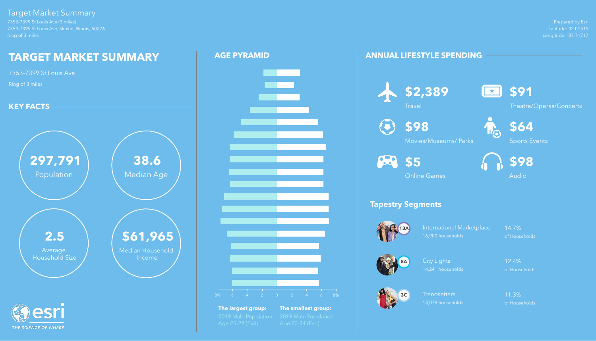Prepared by Esri Latitude: 42.01519 Longitude: -87.71717

7353-7399 St Louis Ave (3 miles) 7353-7399 St Louis Ave, Skokie, Illinois, 60076 Ring of 3 miles

# Target Market Summary

Trendsetters 11.3% 13,078 households of Households

## **ANNUAL LIFESTYLE SPENDING**

# **Tapestry Segments**

International Marketplace 14.7% 16,900 households of Households

![](_page_24_Picture_12.jpeg)

![](_page_24_Picture_14.jpeg)

City Lights 12.4% 14,241 households of Households

![](_page_24_Picture_16.jpeg)

![](_page_24_Picture_5.jpeg)

![](_page_24_Picture_6.jpeg)

![](_page_24_Picture_20.jpeg)

![](_page_24_Picture_21.jpeg)

![](_page_24_Picture_22.jpeg)

![](_page_24_Picture_23.jpeg)

Theatre/Operas/Concerts

**\$98**

Movies/Museums/ Parks

![](_page_24_Picture_25.jpeg)

Sports Events

![](_page_24_Picture_9.jpeg)

Online Games

![](_page_24_Picture_27.jpeg)

Audio

![](_page_24_Figure_2.jpeg)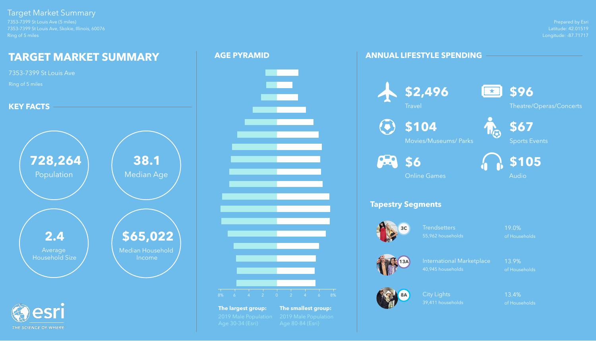Prepared by Esri Latitude: 42.01519 Longitude: -87.71717

![](_page_25_Picture_21.jpeg)

![](_page_25_Picture_22.jpeg)

![](_page_25_Picture_23.jpeg)

7353-7399 St Louis Ave (5 miles) 7353-7399 St Louis Ave, Skokie, Illinois, 60076 Ring of 5 miles

Target Market Summary

THE SCIENCE OF WHERE

Trendsetters 19.0% 55,962 households of Households

International Marketplace 13.9% 40,945 households of Households

City Lights **13.4%** 39,411 households of Households

## **ANNUAL LIFESTYLE SPENDING**

# **Tapestry Segments**

**\$104**  $\left( \overline{\bullet }\right)$ 

![](_page_25_Picture_11.jpeg)

![](_page_25_Picture_13.jpeg)

![](_page_25_Picture_15.jpeg)

![](_page_25_Picture_5.jpeg)

![](_page_25_Picture_24.jpeg)

Theatre/Operas/Concerts

Movies/Museums/ Parks

![](_page_25_Picture_26.jpeg)

Sports Events

![](_page_25_Picture_8.jpeg)

Online Games

![](_page_25_Picture_28.jpeg)

![](_page_25_Figure_2.jpeg)

![](_page_25_Figure_3.jpeg)

**The largest group: The smallest group:**